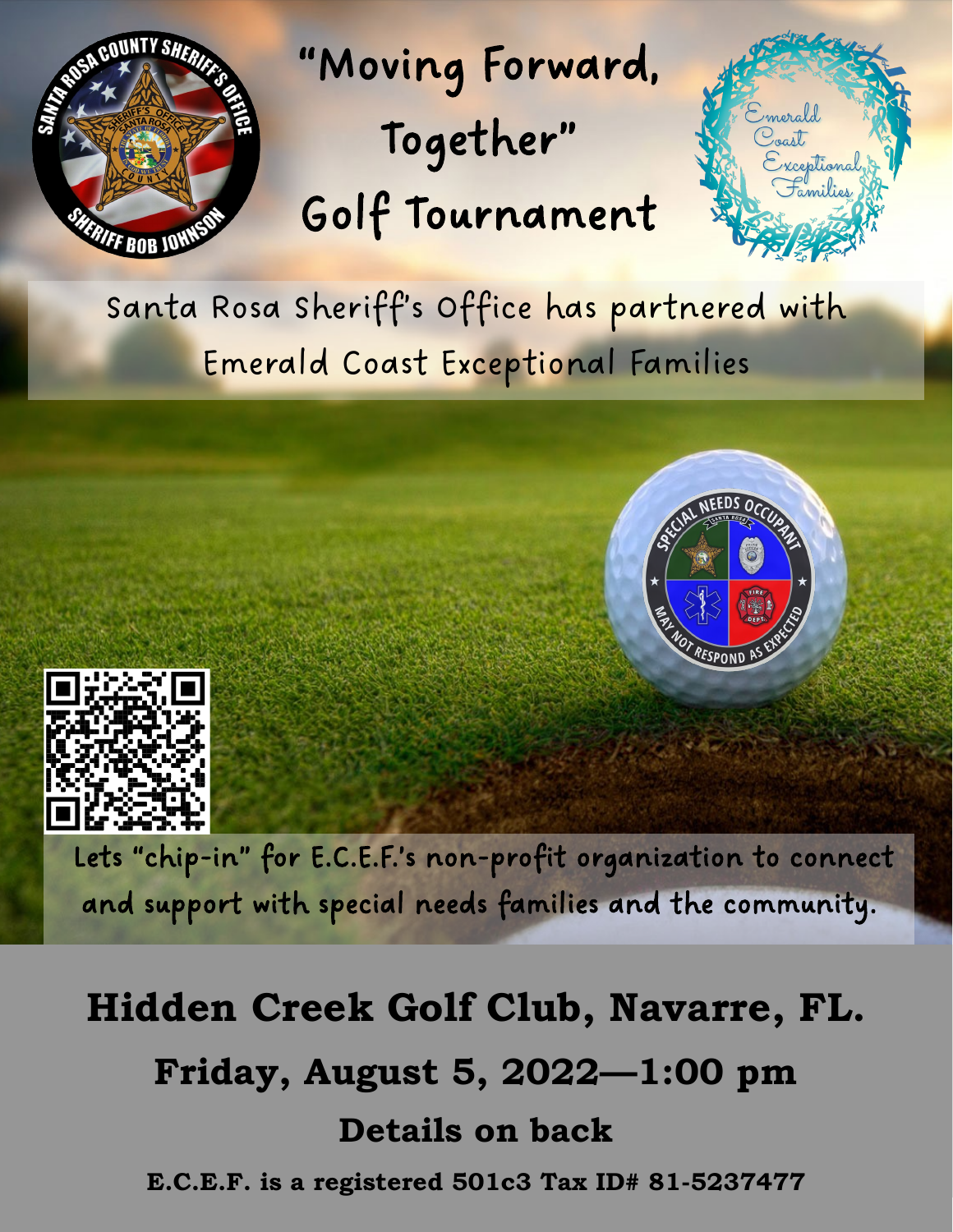

"Moving Forward, Together" Golf Tournament



Santa Rosa Sheriff's Office has partnered with Emerald Coast Exceptional Families





 Lets "chip-in" for E.C.E.F.'s non-profit organization to connect and support with special needs families and the community.

# **Hidden Creek Golf Club, Navarre, FL. Friday, August 5, 2022—1:00 pm Details on back E.C.E.F. is a registered 501c3 Tax ID# 81-5237477**